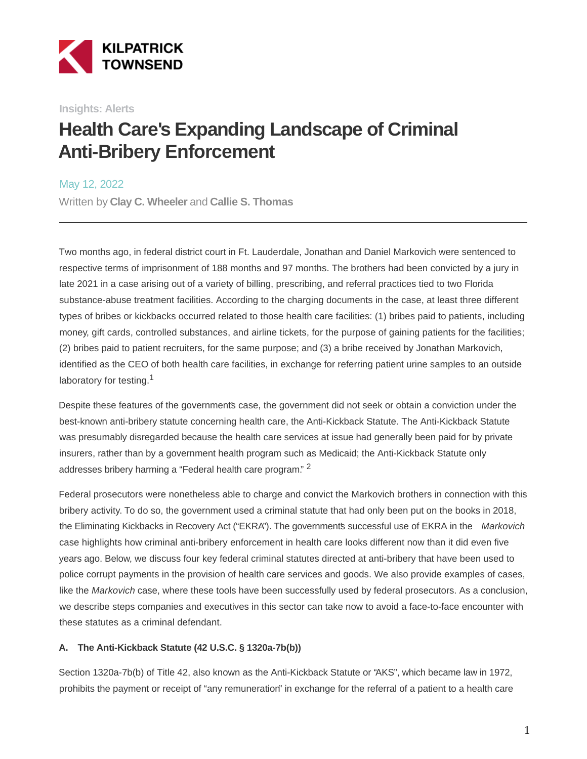

**Insights: Alerts**

# **Health Care's Expanding Landscape of Criminal Anti-Bribery Enforcement**

May 12, 2022

Written by **Clay C. Wheeler** and **Callie S. Thomas**

Two months ago, in federal district court in Ft. Lauderdale, Jonathan and Daniel Markovich were sentenced to respective terms of imprisonment of 188 months and 97 months. The brothers had been convicted by a jury in late 2021 in a case arising out of a variety of billing, prescribing, and referral practices tied to two Florida substance-abuse treatment facilities. According to the charging documents in the case, at least three different types of bribes or kickbacks occurred related to those health care facilities: (1) bribes paid to patients, including money, gift cards, controlled substances, and airline tickets, for the purpose of gaining patients for the facilities; (2) bribes paid to patient recruiters, for the same purpose; and (3) a bribe received by Jonathan Markovich, identified as the CEO of both health care facilities, in exchange for referring patient urine samples to an outside laboratory for testing.<sup>1</sup>

Despite these features of the governments case, the government did not seek or obtain a conviction under the best-known anti-bribery statute concerning health care, the Anti-Kickback Statute. The Anti-Kickback Statute was presumably disregarded because the health care services at issue had generally been paid for by private insurers, rather than by a government health program such as Medicaid; the Anti-Kickback Statute only addresses bribery harming a "Federal health care program." <sup>2</sup>

Federal prosecutors were nonetheless able to charge and convict the Markovich brothers in connection with this bribery activity. To do so, the government used a criminal statute that had only been put on the books in 2018, the Eliminating Kickbacks in Recovery Act ("EKRA"). The governments successful use of EKRA in the Markovich case highlights how criminal anti-bribery enforcement in health care looks different now than it did even five years ago. Below, we discuss four key federal criminal statutes directed at anti-bribery that have been used to police corrupt payments in the provision of health care services and goods. We also provide examples of cases, like the Markovich case, where these tools have been successfully used by federal prosecutors. As a conclusion, we describe steps companies and executives in this sector can take now to avoid a face-to-face encounter with these statutes as a criminal defendant.

#### **A. The Anti-Kickback Statute (42 U.S.C. § 1320a-7b(b))**

Section 1320a-7b(b) of Title 42, also known as the Anti-Kickback Statute or "AKS", which became law in 1972, prohibits the payment or receipt of "any remuneration" in exchange for the referral of a patient to a health care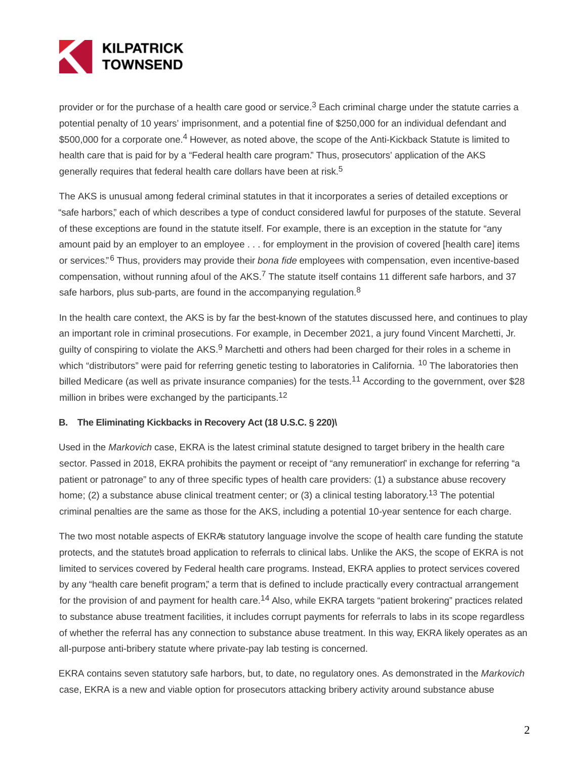

provider or for the purchase of a health care good or service. $3$  Each criminal charge under the statute carries a potential penalty of 10 years' imprisonment, and a potential fine of \$250,000 for an individual defendant and \$500,000 for a corporate one.<sup>4</sup> However, as noted above, the scope of the Anti-Kickback Statute is limited to health care that is paid for by a "Federal health care program." Thus, prosecutors' application of the AKS generally requires that federal health care dollars have been at risk.<sup>5</sup>

The AKS is unusual among federal criminal statutes in that it incorporates a series of detailed exceptions or "safe harbors," each of which describes a type of conduct considered lawful for purposes of the statute. Several of these exceptions are found in the statute itself. For example, there is an exception in the statute for "any amount paid by an employer to an employee . . . for employment in the provision of covered [health care] items or services."<sup>6</sup> Thus, providers may provide their *bona fide* employees with compensation, even incentive-based compensation, without running afoul of the AKS.7 The statute itself contains 11 different safe harbors, and 37 safe harbors, plus sub-parts, are found in the accompanying regulation.<sup>8</sup>

In the health care context, the AKS is by far the best-known of the statutes discussed here, and continues to play an important role in criminal prosecutions. For example, in December 2021, a jury found Vincent Marchetti, Jr. guilty of conspiring to violate the AKS.<sup>9</sup> Marchetti and others had been charged for their roles in a scheme in which "distributors" were paid for referring genetic testing to laboratories in California. <sup>10</sup> The laboratories then billed Medicare (as well as private insurance companies) for the tests.<sup>11</sup> According to the government, over \$28 million in bribes were exchanged by the participants.<sup>12</sup>

#### **B. The Eliminating Kickbacks in Recovery Act (18 U.S.C. § 220)\**

Used in the Markovich case, EKRA is the latest criminal statute designed to target bribery in the health care sector. Passed in 2018, EKRA prohibits the payment or receipt of "any remuneration" in exchange for referring "a patient or patronage" to any of three specific types of health care providers: (1) a substance abuse recovery home; (2) a substance abuse clinical treatment center; or (3) a clinical testing laboratory.<sup>13</sup> The potential criminal penalties are the same as those for the AKS, including a potential 10-year sentence for each charge.

The two most notable aspects of EKRA's statutory language involve the scope of health care funding the statute protects, and the statute's broad application to referrals to clinical labs. Unlike the AKS, the scope of EKRA is not limited to services covered by Federal health care programs. Instead, EKRA applies to protect services covered by any "health care benefit program," a term that is defined to include practically every contractual arrangement for the provision of and payment for health care.<sup>14</sup> Also, while EKRA targets "patient brokering" practices related to substance abuse treatment facilities, it includes corrupt payments for referrals to labs in its scope regardless of whether the referral has any connection to substance abuse treatment. In this way, EKRA likely operates as an all-purpose anti-bribery statute where private-pay lab testing is concerned.

EKRA contains seven statutory safe harbors, but, to date, no regulatory ones. As demonstrated in the Markovich case, EKRA is a new and viable option for prosecutors attacking bribery activity around substance abuse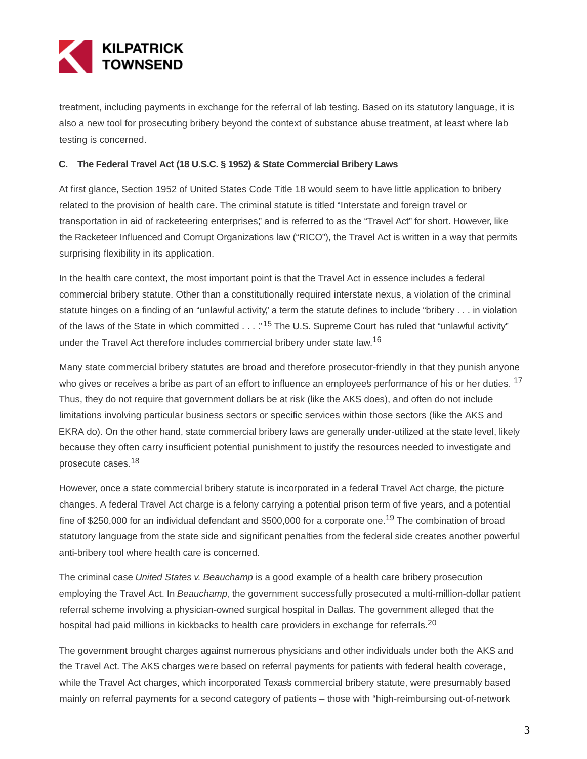

treatment, including payments in exchange for the referral of lab testing. Based on its statutory language, it is also a new tool for prosecuting bribery beyond the context of substance abuse treatment, at least where lab testing is concerned.

#### **C. The Federal Travel Act (18 U.S.C. § 1952) & State Commercial Bribery Laws**

At first glance, Section 1952 of United States Code Title 18 would seem to have little application to bribery related to the provision of health care. The criminal statute is titled "Interstate and foreign travel or transportation in aid of racketeering enterprises," and is referred to as the "Travel Act" for short. However, like the Racketeer Influenced and Corrupt Organizations law ("RICO"), the Travel Act is written in a way that permits surprising flexibility in its application.

In the health care context, the most important point is that the Travel Act in essence includes a federal commercial bribery statute. Other than a constitutionally required interstate nexus, a violation of the criminal statute hinges on a finding of an "unlawful activity," a term the statute defines to include "bribery . . . in violation of the laws of the State in which committed . . . "<sup>15</sup> The U.S. Supreme Court has ruled that "unlawful activity" under the Travel Act therefore includes commercial bribery under state law.<sup>16</sup>

Many state commercial bribery statutes are broad and therefore prosecutor-friendly in that they punish anyone who gives or receives a bribe as part of an effort to influence an employee's performance of his or her duties. <sup>17</sup> Thus, they do not require that government dollars be at risk (like the AKS does), and often do not include limitations involving particular business sectors or specific services within those sectors (like the AKS and EKRA do). On the other hand, state commercial bribery laws are generally under-utilized at the state level, likely because they often carry insufficient potential punishment to justify the resources needed to investigate and prosecute cases.<sup>18</sup>

However, once a state commercial bribery statute is incorporated in a federal Travel Act charge, the picture changes. A federal Travel Act charge is a felony carrying a potential prison term of five years, and a potential fine of \$250,000 for an individual defendant and \$500,000 for a corporate one.19 The combination of broad statutory language from the state side and significant penalties from the federal side creates another powerful anti-bribery tool where health care is concerned.

The criminal case United States v. Beauchamp is a good example of a health care bribery prosecution employing the Travel Act. In Beauchamp, the government successfully prosecuted a multi-million-dollar patient referral scheme involving a physician-owned surgical hospital in Dallas. The government alleged that the hospital had paid millions in kickbacks to health care providers in exchange for referrals.<sup>20</sup>

The government brought charges against numerous physicians and other individuals under both the AKS and the Travel Act. The AKS charges were based on referral payments for patients with federal health coverage, while the Travel Act charges, which incorporated Texas's commercial bribery statute, were presumably based mainly on referral payments for a second category of patients – those with "high-reimbursing out-of-network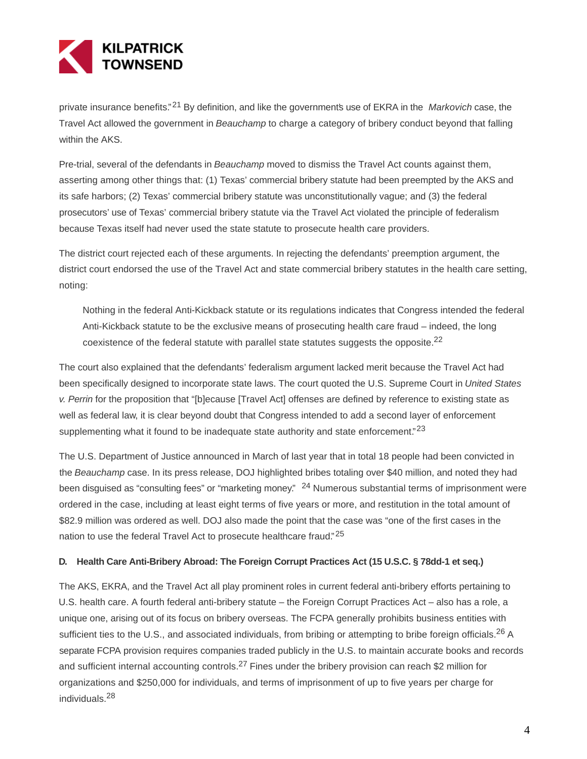

private insurance benefits."<sup>21</sup> By definition, and like the governments use of EKRA in the *Markovich* case, the Travel Act allowed the government in Beauchamp to charge a category of bribery conduct beyond that falling within the AKS.

Pre-trial, several of the defendants in Beauchamp moved to dismiss the Travel Act counts against them, asserting among other things that: (1) Texas' commercial bribery statute had been preempted by the AKS and its safe harbors; (2) Texas' commercial bribery statute was unconstitutionally vague; and (3) the federal prosecutors' use of Texas' commercial bribery statute via the Travel Act violated the principle of federalism because Texas itself had never used the state statute to prosecute health care providers.

The district court rejected each of these arguments. In rejecting the defendants' preemption argument, the district court endorsed the use of the Travel Act and state commercial bribery statutes in the health care setting, noting:

Nothing in the federal Anti-Kickback statute or its regulations indicates that Congress intended the federal Anti-Kickback statute to be the exclusive means of prosecuting health care fraud – indeed, the long coexistence of the federal statute with parallel state statutes suggests the opposite.<sup>22</sup>

The court also explained that the defendants' federalism argument lacked merit because the Travel Act had been specifically designed to incorporate state laws. The court quoted the U.S. Supreme Court in United States v. Perrin for the proposition that "[b]ecause [Travel Act] offenses are defined by reference to existing state as well as federal law, it is clear beyond doubt that Congress intended to add a second layer of enforcement supplementing what it found to be inadequate state authority and state enforcement."<sup>23</sup>

The U.S. Department of Justice announced in March of last year that in total 18 people had been convicted in the Beauchamp case. In its press release, DOJ highlighted bribes totaling over \$40 million, and noted they had been disguised as "consulting fees" or "marketing money." <sup>24</sup> Numerous substantial terms of imprisonment were ordered in the case, including at least eight terms of five years or more, and restitution in the total amount of \$82.9 million was ordered as well. DOJ also made the point that the case was "one of the first cases in the nation to use the federal Travel Act to prosecute healthcare fraud."<sup>25</sup>

#### **D. Health Care Anti-Bribery Abroad: The Foreign Corrupt Practices Act (15 U.S.C. § 78dd-1 et seq.)**

The AKS, EKRA, and the Travel Act all play prominent roles in current federal anti-bribery efforts pertaining to U.S. health care. A fourth federal anti-bribery statute – the Foreign Corrupt Practices Act – also has a role, a unique one, arising out of its focus on bribery overseas. The FCPA generally prohibits business entities with sufficient ties to the U.S., and associated individuals, from bribing or attempting to bribe foreign officials.<sup>26</sup> A separate FCPA provision requires companies traded publicly in the U.S. to maintain accurate books and records and sufficient internal accounting controls.<sup>27</sup> Fines under the bribery provision can reach \$2 million for organizations and \$250,000 for individuals, and terms of imprisonment of up to five years per charge for individuals.<sup>28</sup>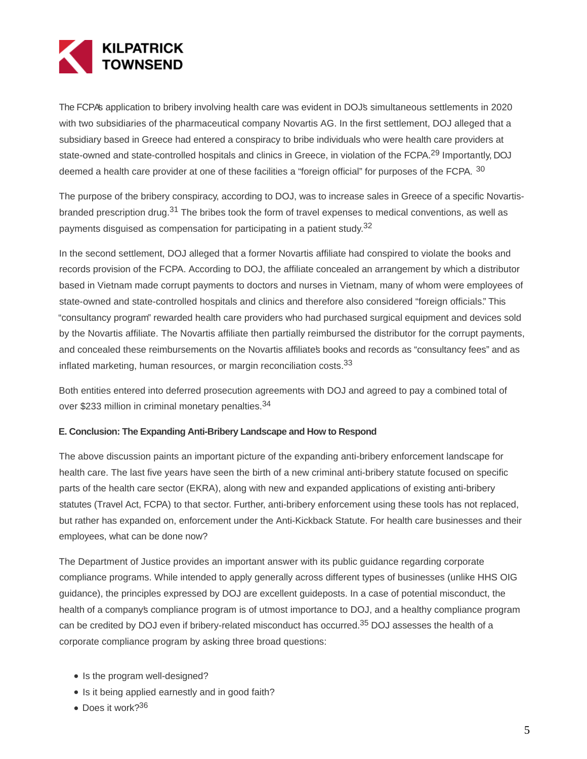

The FCPA's application to bribery involving health care was evident in DOJ's simultaneous settlements in 2020 with two subsidiaries of the pharmaceutical company Novartis AG. In the first settlement, DOJ alleged that a subsidiary based in Greece had entered a conspiracy to bribe individuals who were health care providers at state-owned and state-controlled hospitals and clinics in Greece, in violation of the FCPA.<sup>29</sup> Importantly, DOJ deemed a health care provider at one of these facilities a "foreign official" for purposes of the FCPA. 30

The purpose of the bribery conspiracy, according to DOJ, was to increase sales in Greece of a specific Novartisbranded prescription drug.<sup>31</sup> The bribes took the form of travel expenses to medical conventions, as well as payments disguised as compensation for participating in a patient study.<sup>32</sup>

In the second settlement, DOJ alleged that a former Novartis affiliate had conspired to violate the books and records provision of the FCPA. According to DOJ, the affiliate concealed an arrangement by which a distributor based in Vietnam made corrupt payments to doctors and nurses in Vietnam, many of whom were employees of state-owned and state-controlled hospitals and clinics and therefore also considered "foreign officials." This "consultancy program" rewarded health care providers who had purchased surgical equipment and devices sold by the Novartis affiliate. The Novartis affiliate then partially reimbursed the distributor for the corrupt payments, and concealed these reimbursements on the Novartis affiliates books and records as "consultancy fees" and as inflated marketing, human resources, or margin reconciliation costs.<sup>33</sup>

Both entities entered into deferred prosecution agreements with DOJ and agreed to pay a combined total of over \$233 million in criminal monetary penalties.<sup>34</sup>

#### **E. Conclusion: The Expanding Anti-Bribery Landscape and How to Respond**

The above discussion paints an important picture of the expanding anti-bribery enforcement landscape for health care. The last five years have seen the birth of a new criminal anti-bribery statute focused on specific parts of the health care sector (EKRA), along with new and expanded applications of existing anti-bribery statutes (Travel Act, FCPA) to that sector. Further, anti-bribery enforcement using these tools has not replaced, but rather has expanded on, enforcement under the Anti-Kickback Statute. For health care businesses and their employees, what can be done now?

The Department of Justice provides an important answer with its public guidance regarding corporate compliance programs. While intended to apply generally across different types of businesses (unlike HHS OIG guidance), the principles expressed by DOJ are excellent guideposts. In a case of potential misconduct, the health of a company's compliance program is of utmost importance to DOJ, and a healthy compliance program can be credited by DOJ even if bribery-related misconduct has occurred.<sup>35</sup> DOJ assesses the health of a corporate compliance program by asking three broad questions:

- Is the program well-designed?
- Is it being applied earnestly and in good faith?
- Does it work?<sup>36</sup>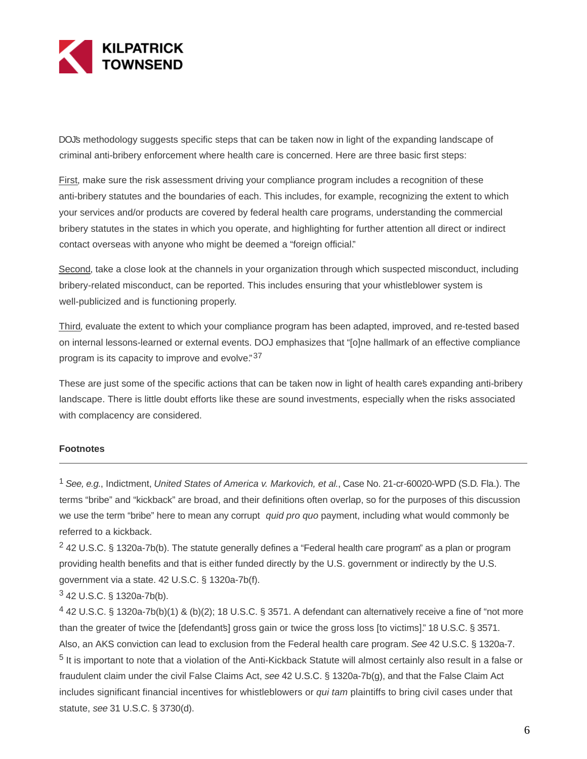

DOJ's methodology suggests specific steps that can be taken now in light of the expanding landscape of criminal anti-bribery enforcement where health care is concerned. Here are three basic first steps:

First, make sure the risk assessment driving your compliance program includes a recognition of these anti-bribery statutes and the boundaries of each. This includes, for example, recognizing the extent to which your services and/or products are covered by federal health care programs, understanding the commercial bribery statutes in the states in which you operate, and highlighting for further attention all direct or indirect contact overseas with anyone who might be deemed a "foreign official."

Second, take a close look at the channels in your organization through which suspected misconduct, including bribery-related misconduct, can be reported. This includes ensuring that your whistleblower system is well-publicized and is functioning properly.

Third, evaluate the extent to which your compliance program has been adapted, improved, and re-tested based on internal lessons-learned or external events. DOJ emphasizes that "[o]ne hallmark of an effective compliance program is its capacity to improve and evolve."<sup>37</sup>

These are just some of the specific actions that can be taken now in light of health cares expanding anti-bribery landscape. There is little doubt efforts like these are sound investments, especially when the risks associated with complacency are considered.

#### **Footnotes**

<sup>1</sup> See, e.g., Indictment, United States of America v. Markovich, et al., Case No. 21-cr-60020-WPD (S.D. Fla.). The terms "bribe" and "kickback" are broad, and their definitions often overlap, so for the purposes of this discussion we use the term "bribe" here to mean any corrupt quid pro quo payment, including what would commonly be referred to a kickback.

<sup>2</sup> 42 U.S.C. § 1320a-7b(b). The statute generally defines a "Federal health care program" as a plan or program providing health benefits and that is either funded directly by the U.S. government or indirectly by the U.S. government via a state. 42 U.S.C. § 1320a-7b(f).

## <sup>3</sup> 42 U.S.C. § 1320a-7b(b).

<sup>4</sup> 42 U.S.C. § 1320a-7b(b)(1) & (b)(2); 18 U.S.C. § 3571. A defendant can alternatively receive a fine of "not more than the greater of twice the [defendants] gross gain or twice the gross loss [to victims]." 18 U.S.C. § 3571. Also, an AKS conviction can lead to exclusion from the Federal health care program. See 42 U.S.C. § 1320a-7. <sup>5</sup> It is important to note that a violation of the Anti-Kickback Statute will almost certainly also result in a false or fraudulent claim under the civil False Claims Act, see 42 U.S.C. § 1320a-7b(g), and that the False Claim Act includes significant financial incentives for whistleblowers or qui tam plaintiffs to bring civil cases under that statute, see 31 U.S.C. § 3730(d).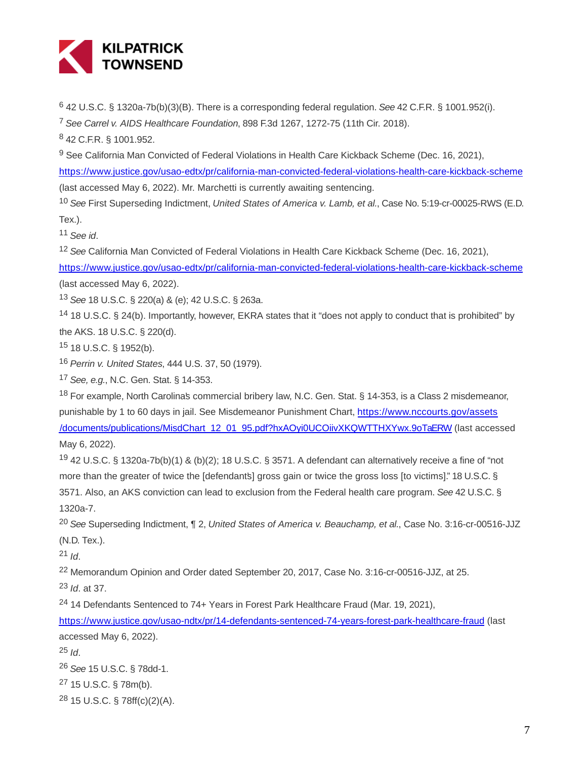

<sup>6</sup> 42 U.S.C. § 1320a-7b(b)(3)(B). There is a corresponding federal regulation. See 42 C.F.R. § 1001.952(i).

<sup>7</sup> See Carrel v. AIDS Healthcare Foundation, 898 F.3d 1267, 1272-75 (11th Cir. 2018).

<sup>8</sup> 42 C.F.R. § 1001.952.

<sup>9</sup> See California Man Convicted of Federal Violations in Health Care Kickback Scheme (Dec. 16, 2021),

<https://www.justice.gov/usao-edtx/pr/california-man-convicted-federal-violations-health-care-kickback-scheme> (last accessed May 6, 2022). Mr. Marchetti is currently awaiting sentencing.

<sup>10</sup> See First Superseding Indictment, United States of America v. Lamb, et al., Case No. 5:19-cr-00025-RWS (E.D. Tex.).

 $11$  See id.

<sup>12</sup> See California Man Convicted of Federal Violations in Health Care Kickback Scheme (Dec. 16, 2021),

<https://www.justice.gov/usao-edtx/pr/california-man-convicted-federal-violations-health-care-kickback-scheme> (last accessed May 6, 2022).

<sup>13</sup> See 18 U.S.C. § 220(a) & (e); 42 U.S.C. § 263a.

<sup>14</sup> 18 U.S.C. § 24(b). Importantly, however, EKRA states that it "does not apply to conduct that is prohibited" by the AKS. 18 U.S.C. § 220(d).

<sup>15</sup> 18 U.S.C. § 1952(b).

<sup>16</sup> Perrin v. United States, 444 U.S. 37, 50 (1979).

<sup>17</sup> See, e.g., N.C. Gen. Stat. § 14-353.

<sup>18</sup> For example, North Carolina's commercial bribery law, N.C. Gen. Stat. § 14-353, is a Class 2 misdemeanor, punishable by 1 to 60 days in jail. See Misdemeanor Punishment Chart, [https://www.nccourts.gov/assets](https://www.nccourts.gov/assets/documents/publications/MisdChart_12_01_95.pdf?hxAOyi0UCOiivXKQWTTHXYwx.9oTaERW) /documents/publications/MisdChart\_12\_01\_95.pdf?hxAOyi0UCOiivXKQWTTHXYwx.9oTaERW (last accessed May 6, 2022).

<sup>19</sup> 42 U.S.C. § 1320a-7b(b)(1) & (b)(2); 18 U.S.C. § 3571. A defendant can alternatively receive a fine of "not more than the greater of twice the [defendants] gross gain or twice the gross loss [to victims]." 18 U.S.C. § 3571. Also, an AKS conviction can lead to exclusion from the Federal health care program. See 42 U.S.C. § 1320a-7.

<sup>20</sup> See Superseding Indictment, ¶ 2, United States of America v. Beauchamp, et al., Case No. 3:16-cr-00516-JJZ (N.D. Tex.).

 $21$  *Id.* 

<sup>22</sup> Memorandum Opinion and Order dated September 20, 2017, Case No. 3:16-cr-00516-JJZ, at 25.

 $23$  *Id.* at 37.

<sup>24</sup> 14 Defendants Sentenced to 74+ Years in Forest Park Healthcare Fraud (Mar. 19, 2021),

<https://www.justice.gov/usao-ndtx/pr/14-defendants-sentenced-74-years-forest-park-healthcare-fraud>(last accessed May 6, 2022).

 $25$  *Id.* 

<sup>26</sup> See 15 U.S.C. § 78dd-1.

<sup>27</sup> 15 U.S.C. § 78m(b).

<sup>28</sup> 15 U.S.C. § 78ff(c)(2)(A).